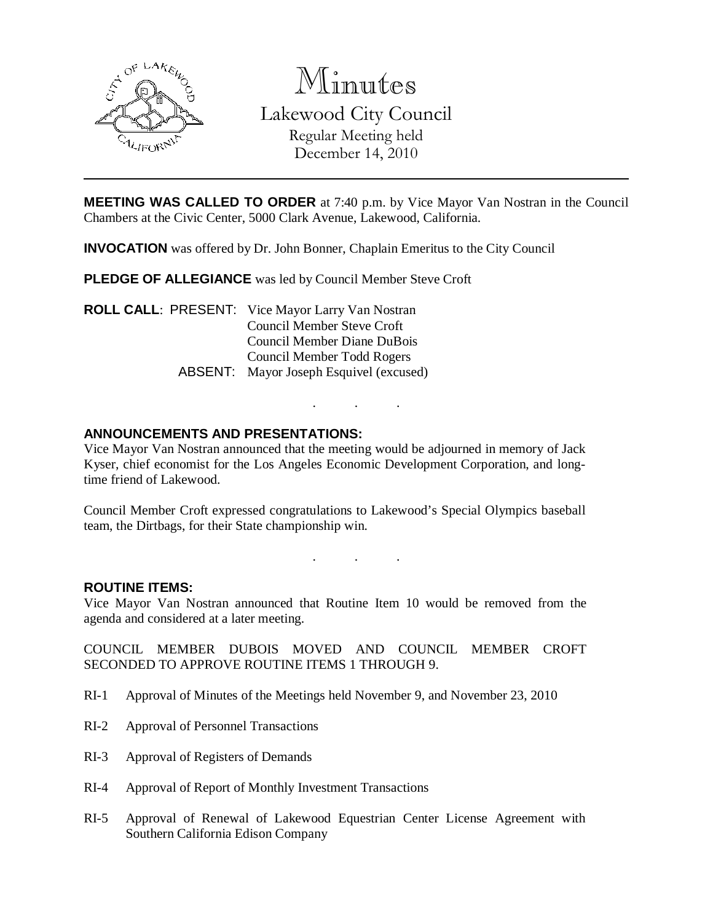

Minutes Lakewood City Council Regular Meeting held December 14, 2010

**MEETING WAS CALLED TO ORDER** at 7:40 p.m. by Vice Mayor Van Nostran in the Council Chambers at the Civic Center, 5000 Clark Avenue, Lakewood, California.

**INVOCATION** was offered by Dr. John Bonner, Chaplain Emeritus to the City Council

**PLEDGE OF ALLEGIANCE** was led by Council Member Steve Croft

**ROLL CALL**: PRESENT: Vice Mayor Larry Van Nostran Council Member Steve Croft Council Member Diane DuBois Council Member Todd Rogers ABSENT: Mayor Joseph Esquivel (excused)

### **ANNOUNCEMENTS AND PRESENTATIONS:**

Vice Mayor Van Nostran announced that the meeting would be adjourned in memory of Jack Kyser, chief economist for the Los Angeles Economic Development Corporation, and longtime friend of Lakewood.

. . .

Council Member Croft expressed congratulations to Lakewood's Special Olympics baseball team, the Dirtbags, for their State championship win.

. . .

#### **ROUTINE ITEMS:**

Vice Mayor Van Nostran announced that Routine Item 10 would be removed from the agenda and considered at a later meeting.

COUNCIL MEMBER DUBOIS MOVED AND COUNCIL MEMBER CROFT SECONDED TO APPROVE ROUTINE ITEMS 1 THROUGH 9.

- RI-1 Approval of Minutes of the Meetings held November 9, and November 23, 2010
- RI-2 Approval of Personnel Transactions
- RI-3 Approval of Registers of Demands
- RI-4 Approval of Report of Monthly Investment Transactions
- RI-5 Approval of Renewal of Lakewood Equestrian Center License Agreement with Southern California Edison Company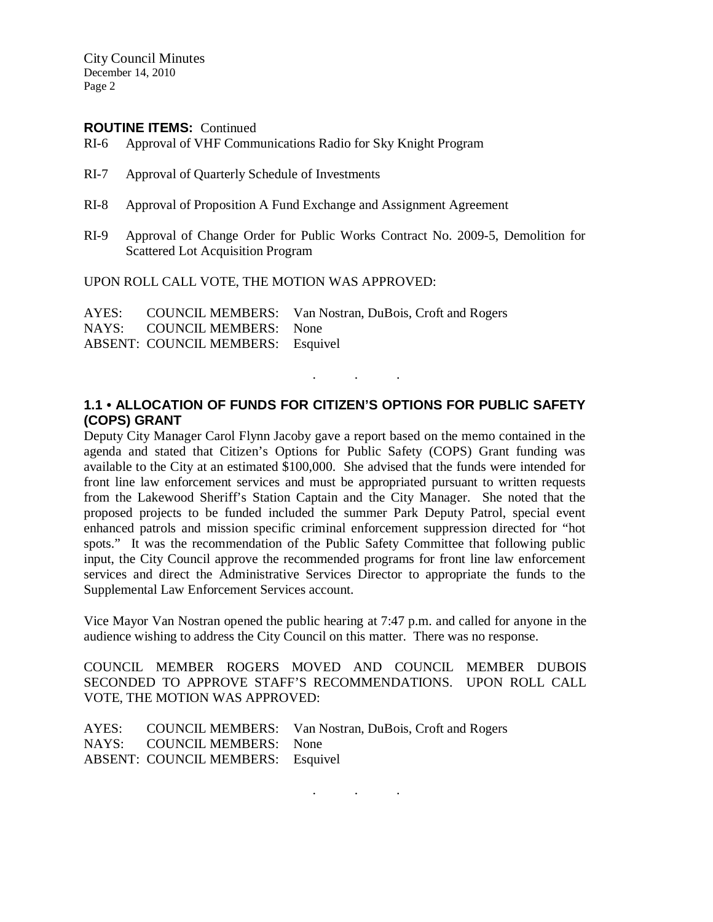City Council Minutes December 14, 2010 Page 2

#### **ROUTINE ITEMS:** Continued

- RI-6 Approval of VHF Communications Radio for Sky Knight Program
- RI-7 Approval of Quarterly Schedule of Investments
- RI-8 Approval of Proposition A Fund Exchange and Assignment Agreement
- RI-9 Approval of Change Order for Public Works Contract No. 2009-5, Demolition for Scattered Lot Acquisition Program

UPON ROLL CALL VOTE, THE MOTION WAS APPROVED:

AYES: COUNCIL MEMBERS: Van Nostran, DuBois, Croft and Rogers NAYS: COUNCIL MEMBERS: None ABSENT: COUNCIL MEMBERS: Esquivel

# **1.1 • ALLOCATION OF FUNDS FOR CITIZEN'S OPTIONS FOR PUBLIC SAFETY (COPS) GRANT**

. . .

Deputy City Manager Carol Flynn Jacoby gave a report based on the memo contained in the agenda and stated that Citizen's Options for Public Safety (COPS) Grant funding was available to the City at an estimated \$100,000. She advised that the funds were intended for front line law enforcement services and must be appropriated pursuant to written requests from the Lakewood Sheriff's Station Captain and the City Manager. She noted that the proposed projects to be funded included the summer Park Deputy Patrol, special event enhanced patrols and mission specific criminal enforcement suppression directed for "hot spots." It was the recommendation of the Public Safety Committee that following public input, the City Council approve the recommended programs for front line law enforcement services and direct the Administrative Services Director to appropriate the funds to the Supplemental Law Enforcement Services account.

Vice Mayor Van Nostran opened the public hearing at 7:47 p.m. and called for anyone in the audience wishing to address the City Council on this matter. There was no response.

COUNCIL MEMBER ROGERS MOVED AND COUNCIL MEMBER DUBOIS SECONDED TO APPROVE STAFF'S RECOMMENDATIONS. UPON ROLL CALL VOTE, THE MOTION WAS APPROVED:

|                                   | AYES: COUNCIL MEMBERS: Van Nostran, DuBois, Croft and Rogers |
|-----------------------------------|--------------------------------------------------------------|
| NAYS: COUNCIL MEMBERS: None       |                                                              |
| ABSENT: COUNCIL MEMBERS: Esquivel |                                                              |

. . .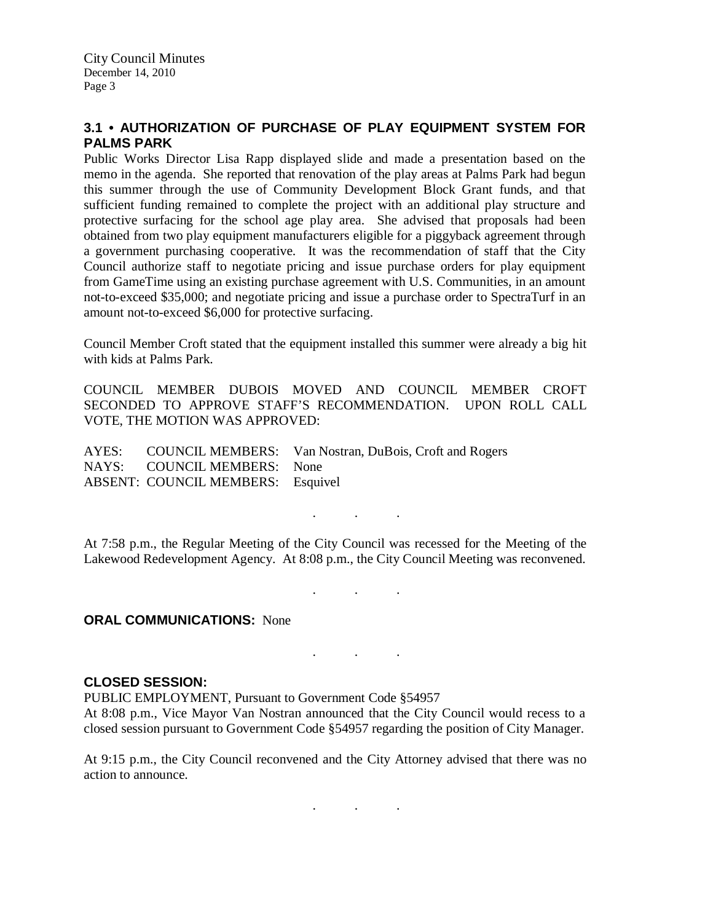# **3.1 • AUTHORIZATION OF PURCHASE OF PLAY EQUIPMENT SYSTEM FOR PALMS PARK**

Public Works Director Lisa Rapp displayed slide and made a presentation based on the memo in the agenda. She reported that renovation of the play areas at Palms Park had begun this summer through the use of Community Development Block Grant funds, and that sufficient funding remained to complete the project with an additional play structure and protective surfacing for the school age play area. She advised that proposals had been obtained from two play equipment manufacturers eligible for a piggyback agreement through a government purchasing cooperative. It was the recommendation of staff that the City Council authorize staff to negotiate pricing and issue purchase orders for play equipment from GameTime using an existing purchase agreement with U.S. Communities, in an amount not-to-exceed \$35,000; and negotiate pricing and issue a purchase order to SpectraTurf in an amount not-to-exceed \$6,000 for protective surfacing.

Council Member Croft stated that the equipment installed this summer were already a big hit with kids at Palms Park.

COUNCIL MEMBER DUBOIS MOVED AND COUNCIL MEMBER CROFT SECONDED TO APPROVE STAFF'S RECOMMENDATION. UPON ROLL CALL VOTE, THE MOTION WAS APPROVED:

AYES: COUNCIL MEMBERS: Van Nostran, DuBois, Croft and Rogers NAYS: COUNCIL MEMBERS: None ABSENT: COUNCIL MEMBERS: Esquivel

. . .

At 7:58 p.m., the Regular Meeting of the City Council was recessed for the Meeting of the Lakewood Redevelopment Agency. At 8:08 p.m., the City Council Meeting was reconvened.

. . .

. . .

### **ORAL COMMUNICATIONS:** None

#### **CLOSED SESSION:**

PUBLIC EMPLOYMENT, Pursuant to Government Code §54957 At 8:08 p.m., Vice Mayor Van Nostran announced that the City Council would recess to a closed session pursuant to Government Code §54957 regarding the position of City Manager.

At 9:15 p.m., the City Council reconvened and the City Attorney advised that there was no action to announce.

. . .